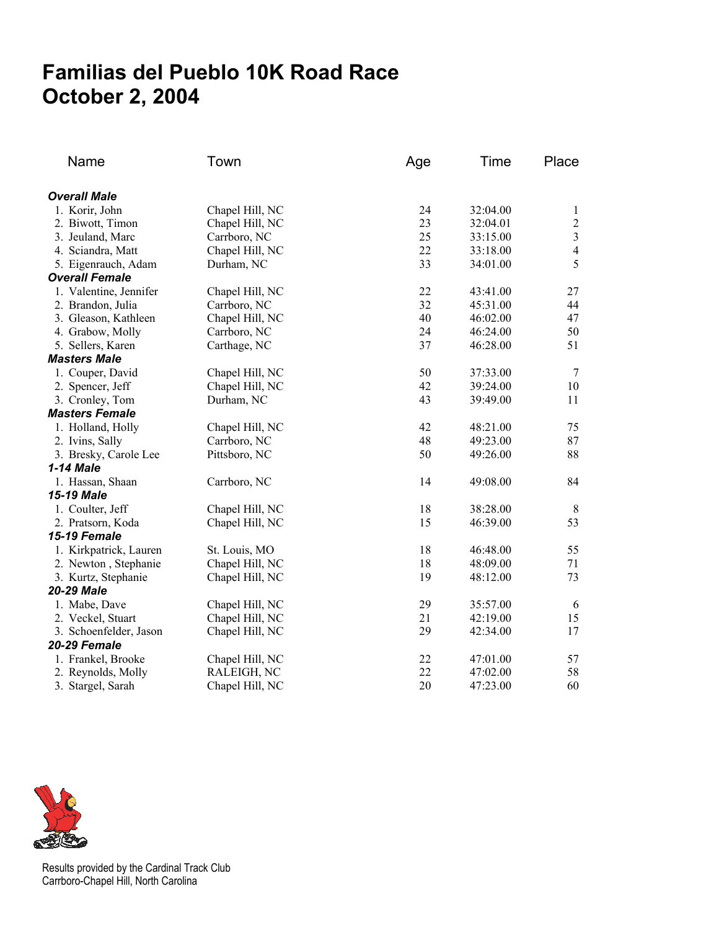## **Familias del Pueblo 10K Road Race October 2, 2004**

| Name                   | Town            | Age | Time     | Place          |
|------------------------|-----------------|-----|----------|----------------|
| <b>Overall Male</b>    |                 |     |          |                |
| 1. Korir, John         | Chapel Hill, NC | 24  | 32:04.00 | 1              |
| 2. Biwott, Timon       | Chapel Hill, NC | 23  | 32:04.01 | $\overline{c}$ |
| 3. Jeuland, Marc       | Carrboro, NC    | 25  | 33:15.00 | $\overline{3}$ |
| 4. Sciandra, Matt      | Chapel Hill, NC | 22  | 33:18.00 | $\overline{4}$ |
| 5. Eigenrauch, Adam    | Durham, NC      | 33  | 34:01.00 | 5              |
| <b>Overall Female</b>  |                 |     |          |                |
| 1. Valentine, Jennifer | Chapel Hill, NC | 22  | 43:41.00 | 27             |
| 2. Brandon, Julia      | Carrboro, NC    | 32  | 45:31.00 | 44             |
| 3. Gleason, Kathleen   | Chapel Hill, NC | 40  | 46:02.00 | 47             |
| 4. Grabow, Molly       | Carrboro, NC    | 24  | 46:24.00 | 50             |
| 5. Sellers, Karen      | Carthage, NC    | 37  | 46:28.00 | 51             |
| <b>Masters Male</b>    |                 |     |          |                |
| 1. Couper, David       | Chapel Hill, NC | 50  | 37:33.00 | $\overline{7}$ |
| 2. Spencer, Jeff       | Chapel Hill, NC | 42  | 39:24.00 | 10             |
| 3. Cronley, Tom        | Durham, NC      | 43  | 39:49.00 | 11             |
| <b>Masters Female</b>  |                 |     |          |                |
| 1. Holland, Holly      | Chapel Hill, NC | 42  | 48:21.00 | 75             |
| 2. Ivins, Sally        | Carrboro, NC    | 48  | 49:23.00 | 87             |
| 3. Bresky, Carole Lee  | Pittsboro, NC   | 50  | 49:26.00 | 88             |
| 1-14 Male              |                 |     |          |                |
| 1. Hassan, Shaan       | Carrboro, NC    | 14  | 49:08.00 | 84             |
| 15-19 Male             |                 |     |          |                |
| 1. Coulter, Jeff       | Chapel Hill, NC | 18  | 38:28.00 | $\,8\,$        |
| 2. Pratsorn, Koda      | Chapel Hill, NC | 15  | 46:39.00 | 53             |
| 15-19 Female           |                 |     |          |                |
| 1. Kirkpatrick, Lauren | St. Louis, MO   | 18  | 46:48.00 | 55             |
| 2. Newton, Stephanie   | Chapel Hill, NC | 18  | 48:09.00 | 71             |
| 3. Kurtz, Stephanie    | Chapel Hill, NC | 19  | 48:12.00 | 73             |
| <b>20-29 Male</b>      |                 |     |          |                |
| 1. Mabe, Dave          | Chapel Hill, NC | 29  | 35:57.00 | 6              |
| 2. Veckel, Stuart      | Chapel Hill, NC | 21  | 42:19.00 | 15             |
| 3. Schoenfelder, Jason | Chapel Hill, NC | 29  | 42:34.00 | 17             |
| 20-29 Female           |                 |     |          |                |
| 1. Frankel, Brooke     | Chapel Hill, NC | 22  | 47:01.00 | 57             |
| 2. Reynolds, Molly     | RALEIGH, NC     | 22  | 47:02.00 | 58             |
| 3. Stargel, Sarah      | Chapel Hill, NC | 20  | 47:23.00 | 60             |



Results provided by the Cardinal Track Club Carrboro-Chapel Hill, North Carolina